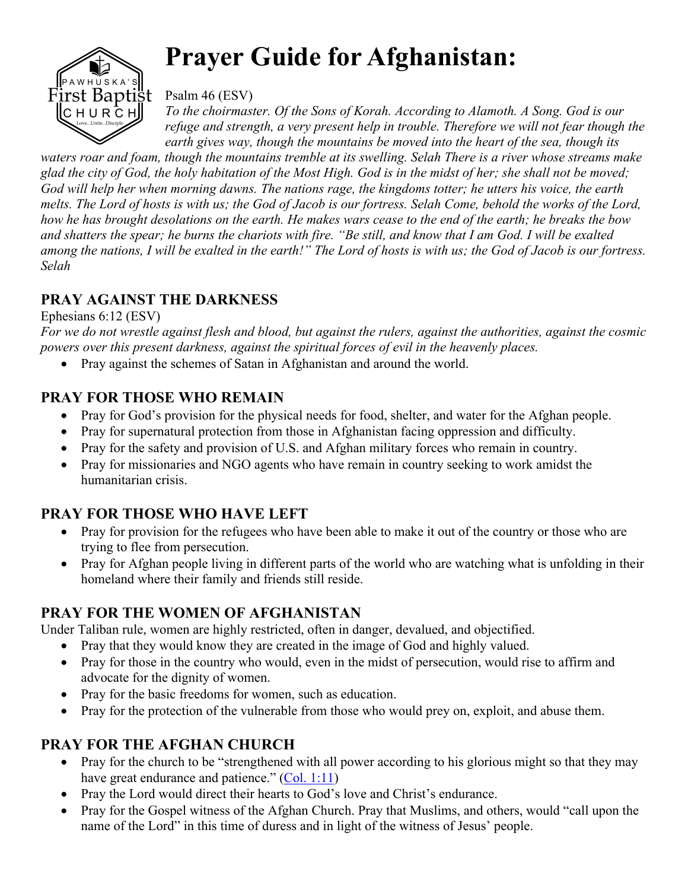

# **Prayer Guide for Afghanistan:**

#### Psalm 46 (ESV)

*To the choirmaster. Of the Sons of Korah. According to Alamoth. A Song. God is our refuge and strength, a very present help in trouble. Therefore we will not fear though the earth gives way, though the mountains be moved into the heart of the sea, though its* 

*waters roar and foam, though the mountains tremble at its swelling. Selah There is a river whose streams make glad the city of God, the holy habitation of the Most High. God is in the midst of her; she shall not be moved; God will help her when morning dawns. The nations rage, the kingdoms totter; he utters his voice, the earth melts. The Lord of hosts is with us; the God of Jacob is our fortress. Selah Come, behold the works of the Lord, how he has brought desolations on the earth. He makes wars cease to the end of the earth; he breaks the bow and shatters the spear; he burns the chariots with fire. "Be still, and know that I am God. I will be exalted among the nations, I will be exalted in the earth!" The Lord of hosts is with us; the God of Jacob is our fortress. Selah*

# **PRAY AGAINST THE DARKNESS**

#### Ephesians 6:12 (ESV)

*For we do not wrestle against flesh and blood, but against the rulers, against the authorities, against the cosmic powers over this present darkness, against the spiritual forces of evil in the heavenly places.*

• Pray against the schemes of Satan in Afghanistan and around the world.

## **PRAY FOR THOSE WHO REMAIN**

- Pray for God's provision for the physical needs for food, shelter, and water for the Afghan people.
- Pray for supernatural protection from those in Afghanistan facing oppression and difficulty.
- Pray for the safety and provision of U.S. and Afghan military forces who remain in country.
- Pray for missionaries and NGO agents who have remain in country seeking to work amidst the humanitarian crisis.

# **PRAY FOR THOSE WHO HAVE LEFT**

- Pray for provision for the refugees who have been able to make it out of the country or those who are trying to flee from persecution.
- Pray for Afghan people living in different parts of the world who are watching what is unfolding in their homeland where their family and friends still reside.

## **PRAY FOR THE WOMEN OF AFGHANISTAN**

Under Taliban rule, women are highly restricted, often in danger, devalued, and objectified.

- Pray that they would know they are created in the image of God and highly valued.
- Pray for those in the country who would, even in the midst of persecution, would rise to affirm and advocate for the dignity of women.
- Pray for the basic freedoms for women, such as education.
- Pray for the protection of the vulnerable from those who would prey on, exploit, and abuse them.

## **PRAY FOR THE AFGHAN CHURCH**

- Pray for the church to be "strengthened with all power according to his glorious might so that they may have great endurance and patience."  $(Col. 1:11)$
- Pray the Lord would direct their hearts to God's love and Christ's endurance.
- Pray for the Gospel witness of the Afghan Church. Pray that Muslims, and others, would "call upon the name of the Lord" in this time of duress and in light of the witness of Jesus' people.